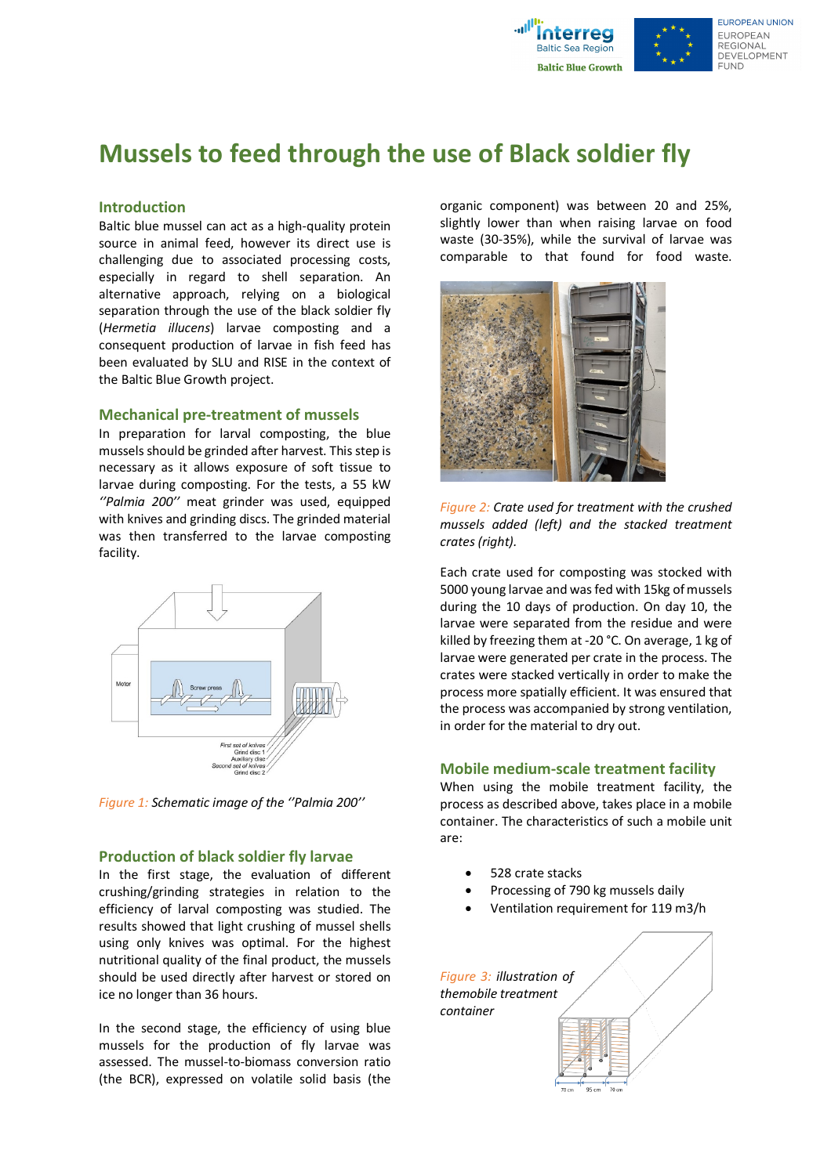

# **Mussels to feed through the use of Black soldier fly**

## **Introduction**

Baltic blue mussel can act as a high-quality protein source in animal feed, however its direct use is challenging due to associated processing costs, especially in regard to shell separation. An alternative approach, relying on a biological separation through the use of the black soldier fly (*Hermetia illucens*) larvae composting and a consequent production of larvae in fish feed has been evaluated by SLU and RISE in the context of the Baltic Blue Growth project.

#### **Mechanical pre-treatment of mussels**

In preparation for larval composting, the blue mussels should be grinded after harvest. This step is necessary as it allows exposure of soft tissue to larvae during composting. For the tests, a 55 kW *''Palmia 200''* meat grinder was used, equipped with knives and grinding discs. The grinded material was then transferred to the larvae composting facility.



*Figure 1: Schematic image of the ''Palmia 200''*

#### **Production of black soldier fly larvae**

In the first stage, the evaluation of different crushing/grinding strategies in relation to the efficiency of larval composting was studied. The results showed that light crushing of mussel shells using only knives was optimal. For the highest nutritional quality of the final product, the mussels should be used directly after harvest or stored on ice no longer than 36 hours.

In the second stage, the efficiency of using blue mussels for the production of fly larvae was assessed. The mussel-to-biomass conversion ratio (the BCR), expressed on volatile solid basis (the

organic component) was between 20 and 25%, slightly lower than when raising larvae on food waste (30-35%), while the survival of larvae was comparable to that found for food waste.



*Figure 2: Crate used for treatment with the crushed mussels added (left) and the stacked treatment crates (right).*

Each crate used for composting was stocked with 5000 young larvae and was fed with 15kg of mussels during the 10 days of production. On day 10, the larvae were separated from the residue and were killed by freezing them at -20 °C. On average, 1 kg of larvae were generated per crate in the process. The crates were stacked vertically in order to make the process more spatially efficient. It was ensured that the process was accompanied by strong ventilation, in order for the material to dry out.

#### **Mobile medium-scale treatment facility**

When using the mobile treatment facility, the process as described above, takes place in a mobile container. The characteristics of such a mobile unit are:

- 528 crate stacks
- Processing of 790 kg mussels daily
- Ventilation requirement for 119 m3/h